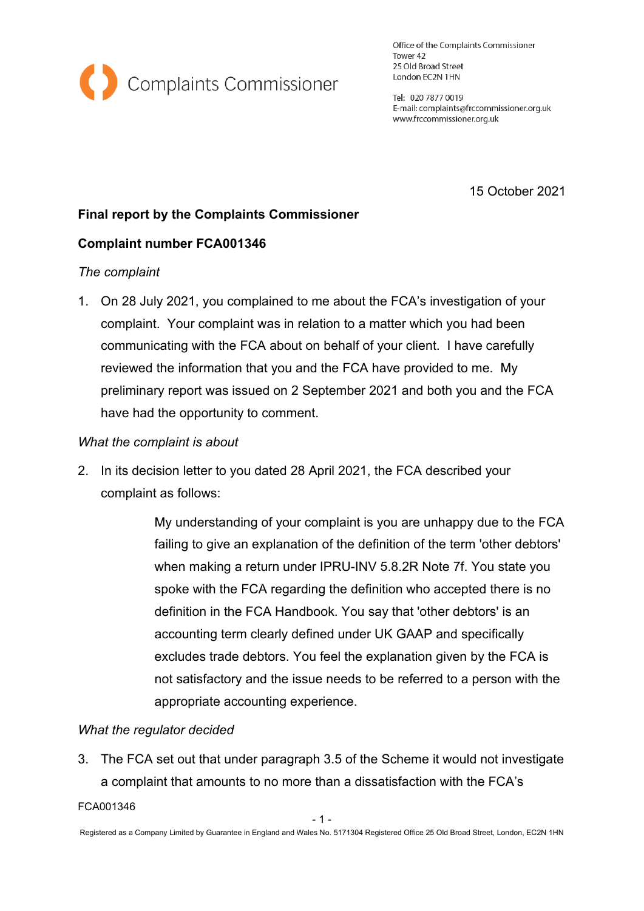

Office of the Complaints Commissioner Tower 42 25 Old Broad Street London EC2N 1HN

Tel: 020 7877 0019 E-mail: complaints@frccommissioner.org.uk www.frccommissioner.org.uk

15 October 2021

# **Final report by the Complaints Commissioner**

# **Complaint number FCA001346**

### *The complaint*

1. On 28 July 2021, you complained to me about the FCA's investigation of your complaint. Your complaint was in relation to a matter which you had been communicating with the FCA about on behalf of your client. I have carefully reviewed the information that you and the FCA have provided to me. My preliminary report was issued on 2 September 2021 and both you and the FCA have had the opportunity to comment.

#### *What the complaint is about*

2. In its decision letter to you dated 28 April 2021, the FCA described your complaint as follows:

> My understanding of your complaint is you are unhappy due to the FCA failing to give an explanation of the definition of the term 'other debtors' when making a return under IPRU-INV 5.8.2R Note 7f. You state you spoke with the FCA regarding the definition who accepted there is no definition in the FCA Handbook. You say that 'other debtors' is an accounting term clearly defined under UK GAAP and specifically excludes trade debtors. You feel the explanation given by the FCA is not satisfactory and the issue needs to be referred to a person with the appropriate accounting experience.

### *What the regulator decided*

3. The FCA set out that under paragraph 3.5 of the Scheme it would not investigate a complaint that amounts to no more than a dissatisfaction with the FCA's

#### FCA001346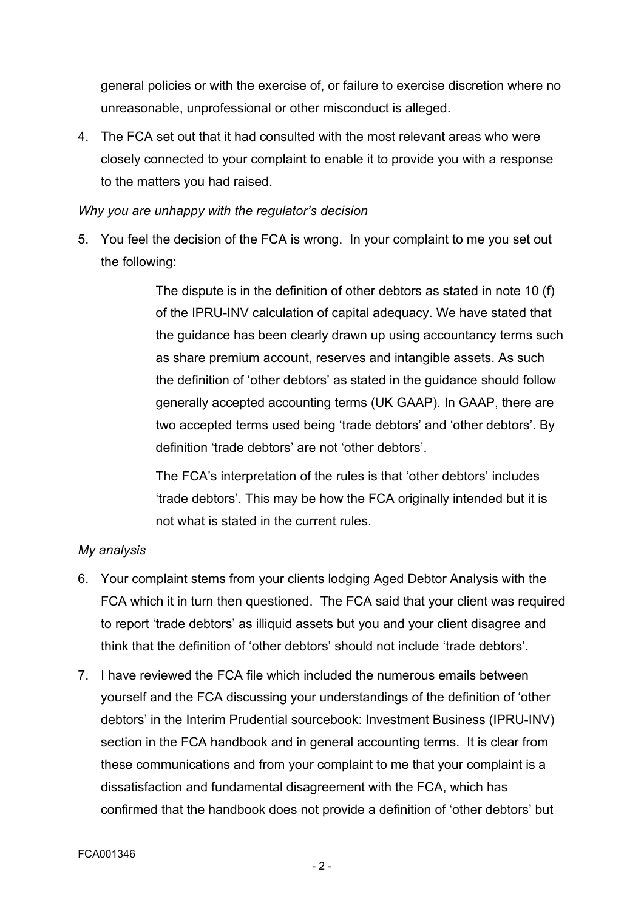general policies or with the exercise of, or failure to exercise discretion where no unreasonable, unprofessional or other misconduct is alleged.

4. The FCA set out that it had consulted with the most relevant areas who were closely connected to your complaint to enable it to provide you with a response to the matters you had raised.

# *Why you are unhappy with the regulator's decision*

5. You feel the decision of the FCA is wrong. In your complaint to me you set out the following:

> The dispute is in the definition of other debtors as stated in note 10 (f) of the IPRU-INV calculation of capital adequacy. We have stated that the guidance has been clearly drawn up using accountancy terms such as share premium account, reserves and intangible assets. As such the definition of 'other debtors' as stated in the guidance should follow generally accepted accounting terms (UK GAAP). In GAAP, there are two accepted terms used being 'trade debtors' and 'other debtors'. By definition 'trade debtors' are not 'other debtors'.

The FCA's interpretation of the rules is that 'other debtors' includes 'trade debtors'. This may be how the FCA originally intended but it is not what is stated in the current rules.

# *My analysis*

- 6. Your complaint stems from your clients lodging Aged Debtor Analysis with the FCA which it in turn then questioned. The FCA said that your client was required to report 'trade debtors' as illiquid assets but you and your client disagree and think that the definition of 'other debtors' should not include 'trade debtors'.
- 7. I have reviewed the FCA file which included the numerous emails between yourself and the FCA discussing your understandings of the definition of 'other debtors' in the Interim Prudential sourcebook: Investment Business (IPRU-INV) section in the FCA handbook and in general accounting terms. It is clear from these communications and from your complaint to me that your complaint is a dissatisfaction and fundamental disagreement with the FCA, which has confirmed that the handbook does not provide a definition of 'other debtors' but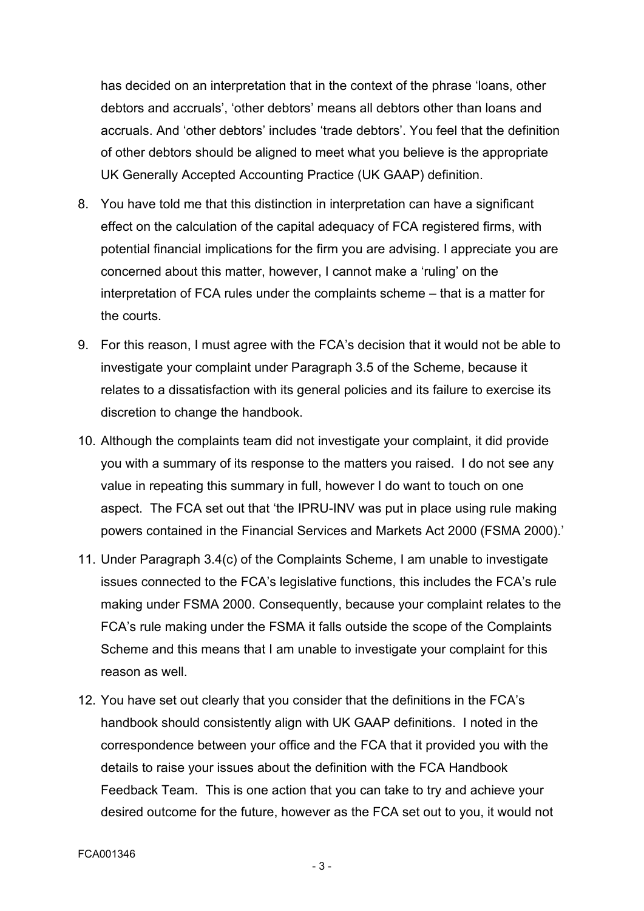has decided on an interpretation that in the context of the phrase 'loans, other debtors and accruals', 'other debtors' means all debtors other than loans and accruals. And 'other debtors' includes 'trade debtors'. You feel that the definition of other debtors should be aligned to meet what you believe is the appropriate UK Generally Accepted Accounting Practice (UK GAAP) definition.

- 8. You have told me that this distinction in interpretation can have a significant effect on the calculation of the capital adequacy of FCA registered firms, with potential financial implications for the firm you are advising. I appreciate you are concerned about this matter, however, I cannot make a 'ruling' on the interpretation of FCA rules under the complaints scheme – that is a matter for the courts.
- 9. For this reason, I must agree with the FCA's decision that it would not be able to investigate your complaint under Paragraph 3.5 of the Scheme, because it relates to a dissatisfaction with its general policies and its failure to exercise its discretion to change the handbook.
- 10. Although the complaints team did not investigate your complaint, it did provide you with a summary of its response to the matters you raised. I do not see any value in repeating this summary in full, however I do want to touch on one aspect. The FCA set out that 'the IPRU-INV was put in place using rule making powers contained in the Financial Services and Markets Act 2000 (FSMA 2000).'
- 11. Under Paragraph 3.4(c) of the Complaints Scheme, I am unable to investigate issues connected to the FCA's legislative functions, this includes the FCA's rule making under FSMA 2000. Consequently, because your complaint relates to the FCA's rule making under the FSMA it falls outside the scope of the Complaints Scheme and this means that I am unable to investigate your complaint for this reason as well.
- 12. You have set out clearly that you consider that the definitions in the FCA's handbook should consistently align with UK GAAP definitions. I noted in the correspondence between your office and the FCA that it provided you with the details to raise your issues about the definition with the FCA Handbook Feedback Team. This is one action that you can take to try and achieve your desired outcome for the future, however as the FCA set out to you, it would not